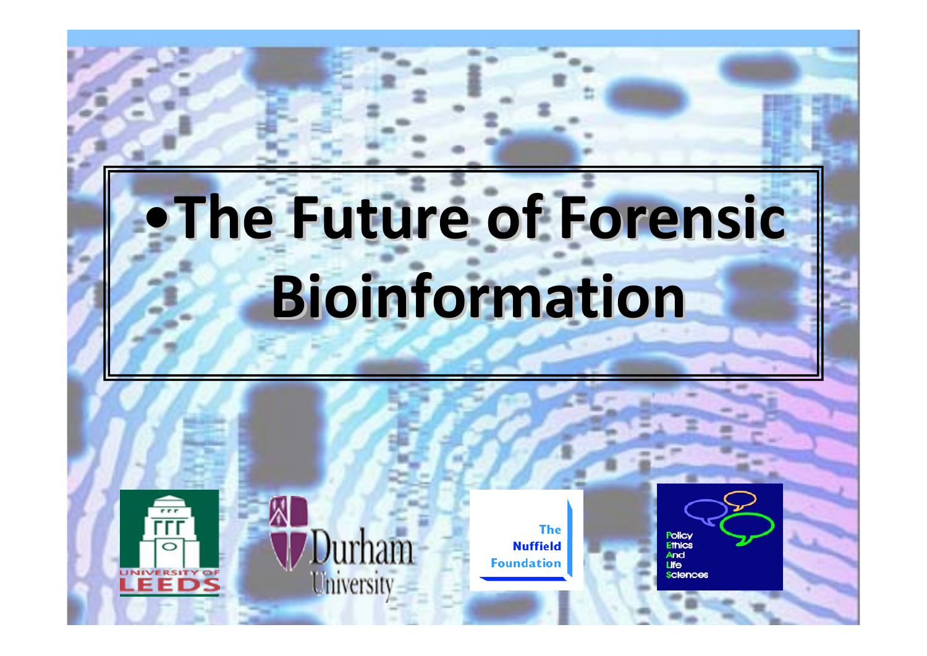# •**The Future of Forensic Forensic Bioinformation Bioinformation**





**The Nuffield Foundation** 

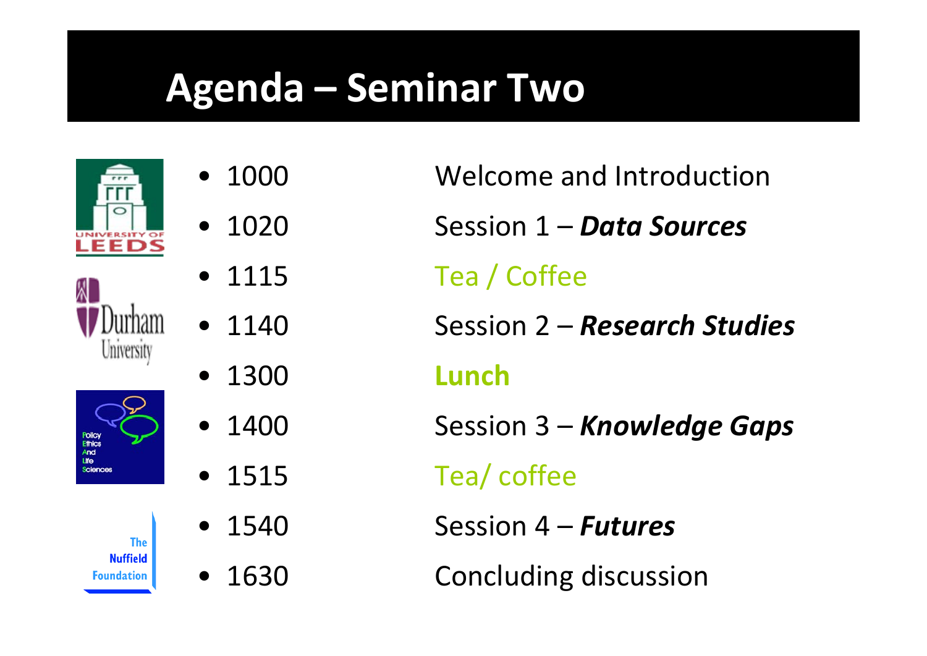#### **Agenda – Seminar Two**







**The Nuffield** Foundation

- • 1000
	- •1020
	- •1115
	- 1140
	- •1300
	- •1400
	- 1515
	- • 1540•1630
- Welcome and Introduction Session 1 – *Data Sources* Tea / Coffee Session 2 – *Research Studies* **Lunch** Session 3 – *Knowledge Gaps* Tea/ coffee Session 4 – *Futures*
	- Concluding discussion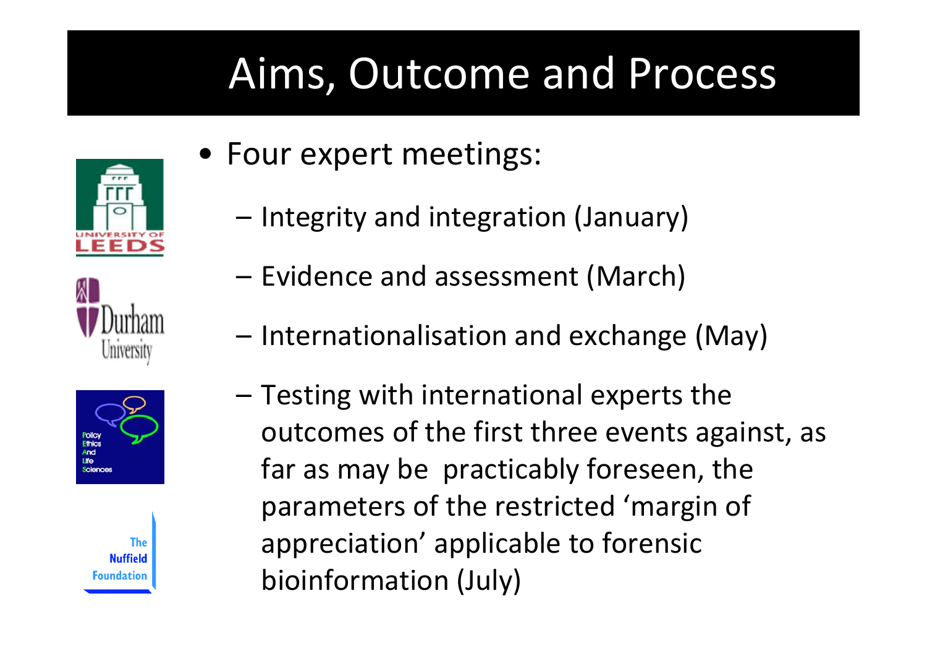## Aims, Outcome and Process







The **Nuffield** oundation

- Four expert meetings:
	- –- Integrity and integration (January)
	- Evidence and assessment (March)
	- Internationalisation and exchange (May)
	- – $-$  Testing with international experts the outcomes of the first three events against, as far as may be practicably foreseen, the parameters of the restricted 'margin of appreciation' applicable to forensic bioinformation (July)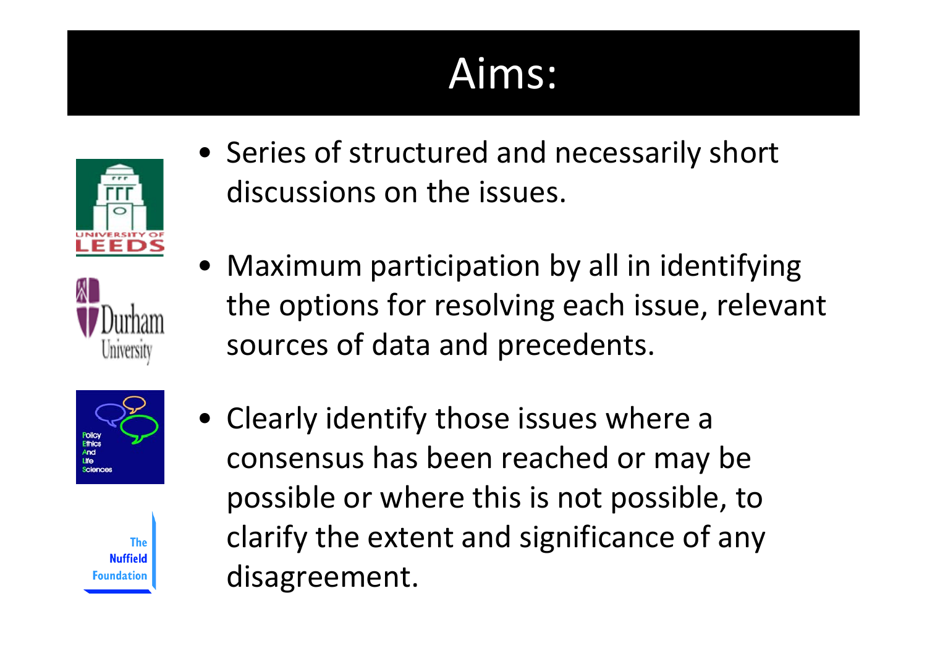#### Aims:







• Maximum participation by all in identifying the options for resolving each issue, relevant sources of data and precedents.





• Clearly identify those issues where <sup>a</sup> consensus has been reached or may be possible or where this is not possible, to clarify the extent and significance of any disagreement.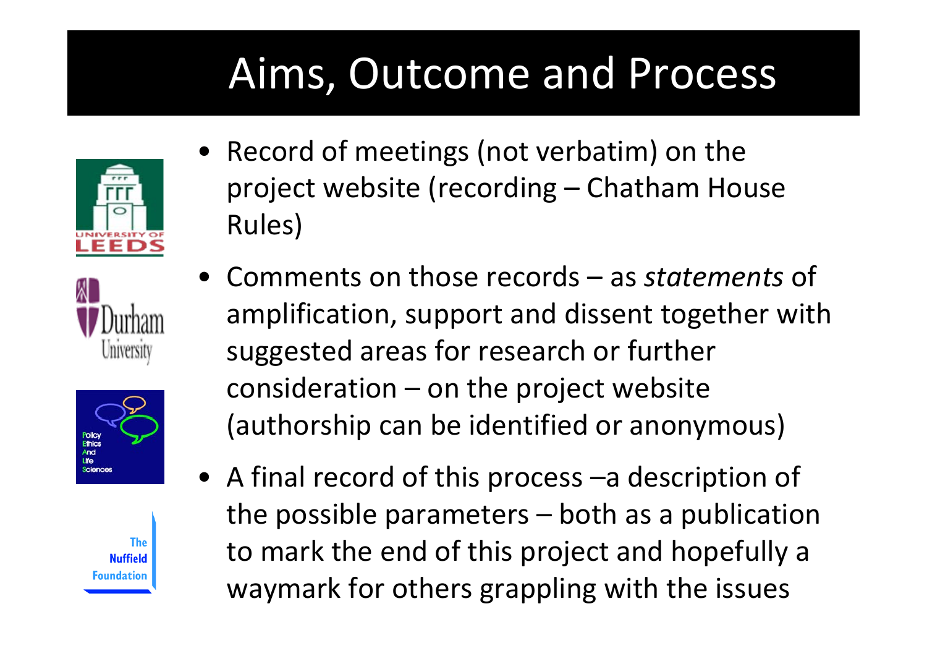## Aims, Outcome and Process









- Record of meetings (not verbatim) on the project website (recording – Chatham House Rules)
- Comments on those records as *statements* of amplification, support and dissent together with suggested areas for research or further consideration – on the project website (authorship can be identified or anonymous)
- A final record of this process –a description of the possible parameters – both as <sup>a</sup> publication to mark the end of this project and hopefully <sup>a</sup> waymark for others grappling with the issues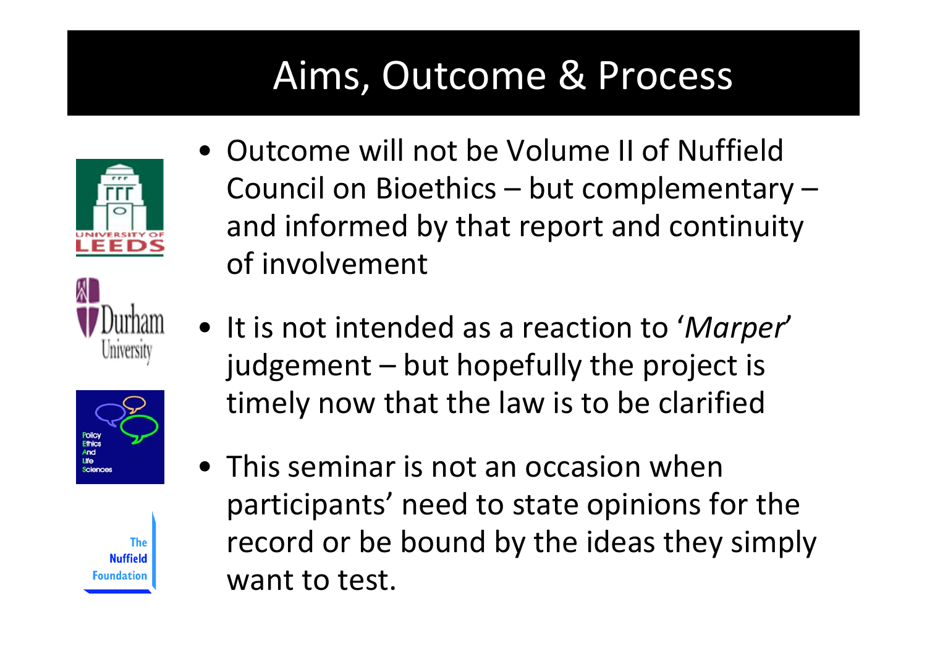#### Aims, Outcome & Process







The **Nuffield** oundation

- Outcome will not be Volume II of NuffieldCouncil on Bioethics – but complementary – and informed by that report and continuity of involvement
- It is not intended as a reaction to '*Marper*' judgement – but hopefully the project is timely now that the law is to be clarified
- This seminar is not an occasion when participants' need to state opinions for the record or be bound by the ideas they simply want to test.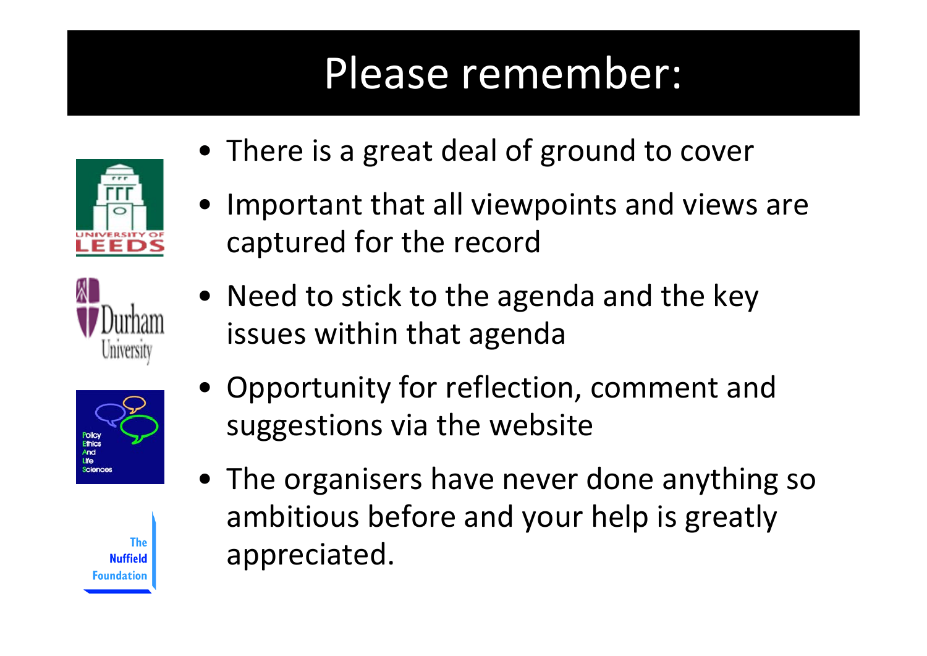## Please remember:







The **Nuffield** oundation

- There is <sup>a</sup> great deal of ground to cover
- Important that all viewpoints and views are captured for the record
- Need to stick to the agenda and the key issues within that agenda
- Opportunity for reflection, comment and suggestions via the website
- The organisers have never done anything so ambitious before and your help is greatly appreciated.